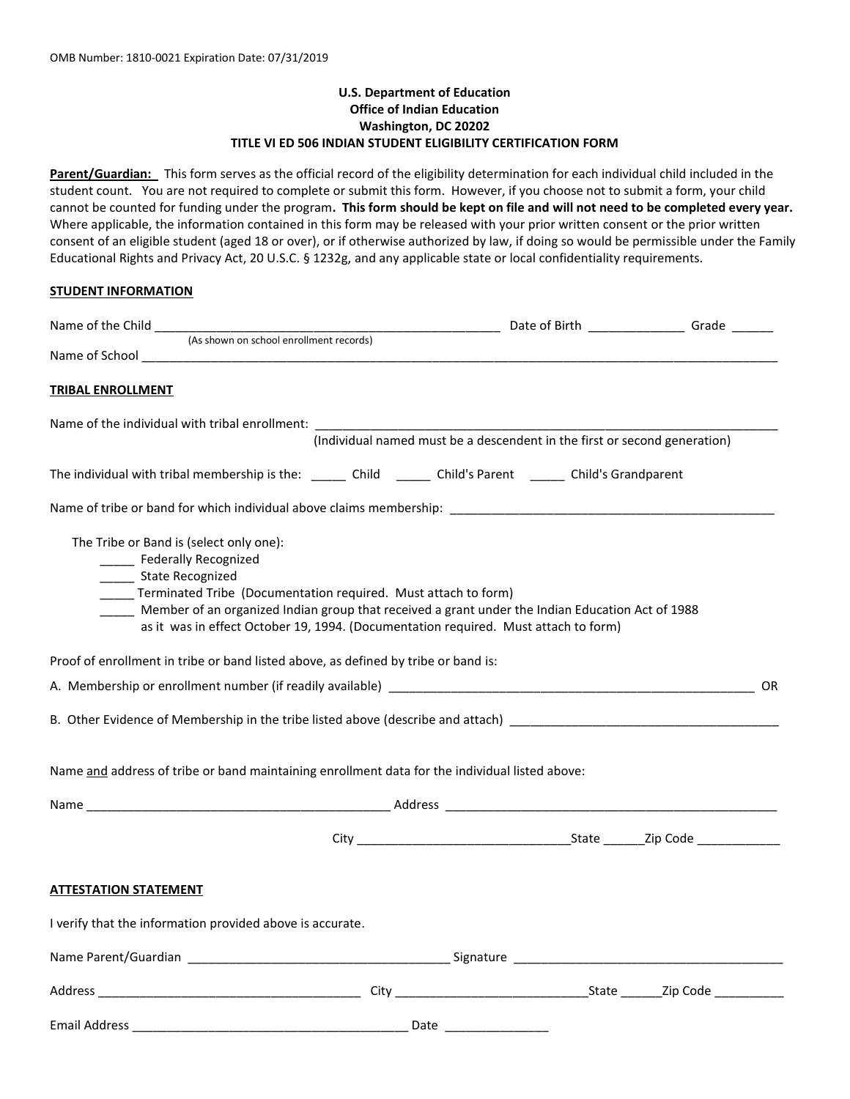# **U.S. Department of Education Office of Indian Education Washington, DC 20202 TITLE VI ED 506 INDIAN STUDENT ELIGIBILITY CERTIFICATION FORM**

**Parent/Guardian:** This form serves as the official record of the eligibility determination for each individual child included in the student count. You are not required to complete or submit this form. However, if you choose not to submit a form, your child cannot be counted for funding under the program**. This form should be kept on file and will not need to be completed every year.** Where applicable, the information contained in this form may be released with your prior written consent or the prior written consent of an eligible student (aged 18 or over), or if otherwise authorized by law, if doing so would be permissible under the Family Educational Rights and Privacy Act, 20 U.S.C. § 1232g, and any applicable state or local confidentiality requirements.

## **STUDENT INFORMATION**

| <b>TRIBAL ENROLLMENT</b>     |                                                                                                                                                                                                                                                                                                                                                                                                                                 |  |  |  |  |    |
|------------------------------|---------------------------------------------------------------------------------------------------------------------------------------------------------------------------------------------------------------------------------------------------------------------------------------------------------------------------------------------------------------------------------------------------------------------------------|--|--|--|--|----|
|                              | Name of the individual with tribal enrollment:<br>(Individual named must be a descendent in the first or second generation)                                                                                                                                                                                                                                                                                                     |  |  |  |  |    |
|                              | The individual with tribal membership is the: ______ Child ______ Child's Parent _____ Child's Grandparent                                                                                                                                                                                                                                                                                                                      |  |  |  |  |    |
|                              |                                                                                                                                                                                                                                                                                                                                                                                                                                 |  |  |  |  |    |
| _____ State Recognized       | The Tribe or Band is (select only one):<br>______ Federally Recognized<br>_____ Terminated Tribe (Documentation required. Must attach to form)<br>Member of an organized Indian group that received a grant under the Indian Education Act of 1988<br>as it was in effect October 19, 1994. (Documentation required. Must attach to form)<br>Proof of enrollment in tribe or band listed above, as defined by tribe or band is: |  |  |  |  |    |
|                              |                                                                                                                                                                                                                                                                                                                                                                                                                                 |  |  |  |  | OR |
|                              |                                                                                                                                                                                                                                                                                                                                                                                                                                 |  |  |  |  |    |
|                              | Name and address of tribe or band maintaining enrollment data for the individual listed above:                                                                                                                                                                                                                                                                                                                                  |  |  |  |  |    |
|                              |                                                                                                                                                                                                                                                                                                                                                                                                                                 |  |  |  |  |    |
|                              |                                                                                                                                                                                                                                                                                                                                                                                                                                 |  |  |  |  |    |
| <b>ATTESTATION STATEMENT</b> |                                                                                                                                                                                                                                                                                                                                                                                                                                 |  |  |  |  |    |
|                              | I verify that the information provided above is accurate.                                                                                                                                                                                                                                                                                                                                                                       |  |  |  |  |    |
|                              |                                                                                                                                                                                                                                                                                                                                                                                                                                 |  |  |  |  |    |
|                              |                                                                                                                                                                                                                                                                                                                                                                                                                                 |  |  |  |  |    |
|                              |                                                                                                                                                                                                                                                                                                                                                                                                                                 |  |  |  |  |    |